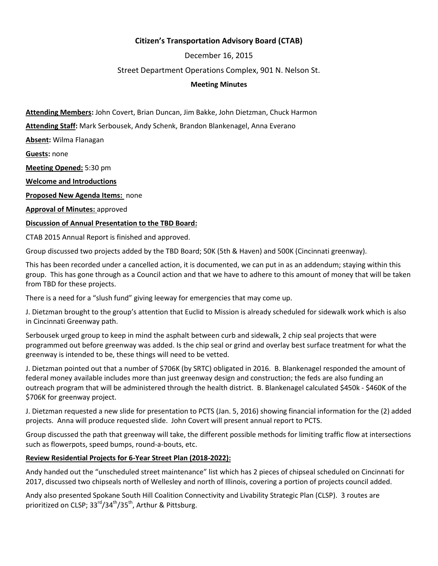# **Citizen's Transportation Advisory Board (CTAB)**

December 16, 2015

### Street Department Operations Complex, 901 N. Nelson St.

#### **Meeting Minutes**

**Attending Members:** John Covert, Brian Duncan, Jim Bakke, John Dietzman, Chuck Harmon

**Attending Staff:** Mark Serbousek, Andy Schenk, Brandon Blankenagel, Anna Everano

**Absent:** Wilma Flanagan

**Guests:** none

**Meeting Opened:** 5:30 pm

**Welcome and Introductions**

**Proposed New Agenda Items:** none

**Approval of Minutes:** approved

**Discussion of Annual Presentation to the TBD Board:**

CTAB 2015 Annual Report is finished and approved.

Group discussed two projects added by the TBD Board; 50K (5th & Haven) and 500K (Cincinnati greenway).

This has been recorded under a cancelled action, it is documented, we can put in as an addendum; staying within this group. This has gone through as a Council action and that we have to adhere to this amount of money that will be taken from TBD for these projects.

There is a need for a "slush fund" giving leeway for emergencies that may come up.

J. Dietzman brought to the group's attention that Euclid to Mission is already scheduled for sidewalk work which is also in Cincinnati Greenway path.

Serbousek urged group to keep in mind the asphalt between curb and sidewalk, 2 chip seal projects that were programmed out before greenway was added. Is the chip seal or grind and overlay best surface treatment for what the greenway is intended to be, these things will need to be vetted.

J. Dietzman pointed out that a number of \$706K (by SRTC) obligated in 2016. B. Blankenagel responded the amount of federal money available includes more than just greenway design and construction; the feds are also funding an outreach program that will be administered through the health district. B. Blankenagel calculated \$450k - \$460K of the \$706K for greenway project.

J. Dietzman requested a new slide for presentation to PCTS (Jan. 5, 2016) showing financial information for the (2) added projects. Anna will produce requested slide. John Covert will present annual report to PCTS.

Group discussed the path that greenway will take, the different possible methods for limiting traffic flow at intersections such as flowerpots, speed bumps, round-a-bouts, etc.

## **Review Residential Projects for 6-Year Street Plan (2018-2022):**

Andy handed out the "unscheduled street maintenance" list which has 2 pieces of chipseal scheduled on Cincinnati for 2017, discussed two chipseals north of Wellesley and north of Illinois, covering a portion of projects council added.

Andy also presented Spokane South Hill Coalition Connectivity and Livability Strategic Plan (CLSP). 3 routes are prioritized on CLSP; 33<sup>rd</sup>/34<sup>th</sup>/35<sup>th</sup>, Arthur & Pittsburg.